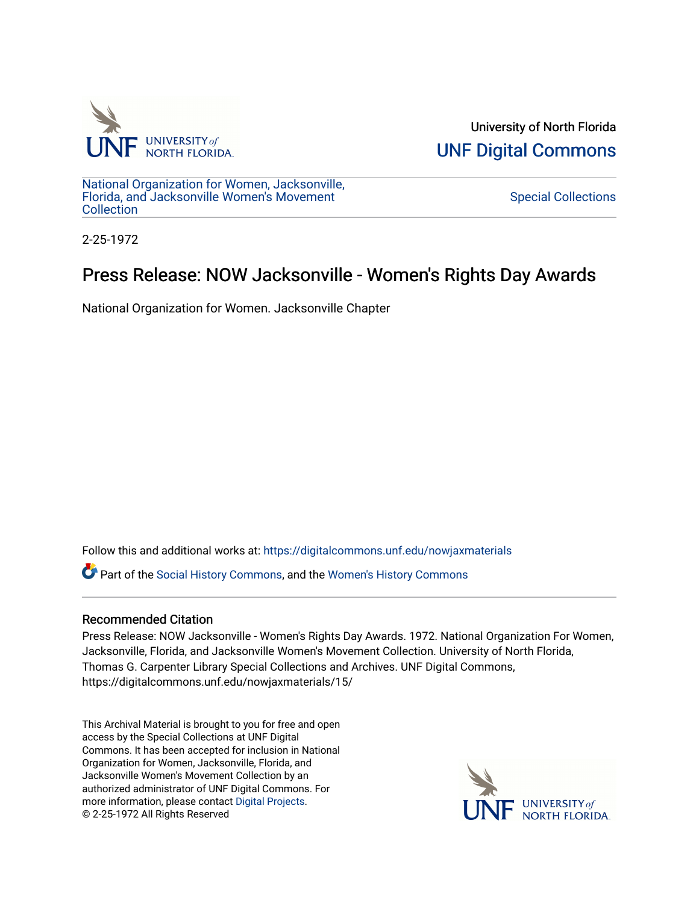

University of North Florida [UNF Digital Commons](https://digitalcommons.unf.edu/) 

[National Organization for Women, Jacksonville,](https://digitalcommons.unf.edu/nowjaxmaterials) [Florida, and Jacksonville Women's Movement](https://digitalcommons.unf.edu/nowjaxmaterials) **Collection** 

[Special Collections](https://digitalcommons.unf.edu/special_collections) 

2-25-1972

## Press Release: NOW Jacksonville - Women's Rights Day Awards

National Organization for Women. Jacksonville Chapter

Follow this and additional works at: [https://digitalcommons.unf.edu/nowjaxmaterials](https://digitalcommons.unf.edu/nowjaxmaterials?utm_source=digitalcommons.unf.edu%2Fnowjaxmaterials%2F15&utm_medium=PDF&utm_campaign=PDFCoverPages) 

Part of the [Social History Commons](http://network.bepress.com/hgg/discipline/506?utm_source=digitalcommons.unf.edu%2Fnowjaxmaterials%2F15&utm_medium=PDF&utm_campaign=PDFCoverPages), and the [Women's History Commons](http://network.bepress.com/hgg/discipline/507?utm_source=digitalcommons.unf.edu%2Fnowjaxmaterials%2F15&utm_medium=PDF&utm_campaign=PDFCoverPages)

## Recommended Citation

Press Release: NOW Jacksonville - Women's Rights Day Awards. 1972. National Organization For Women, Jacksonville, Florida, and Jacksonville Women's Movement Collection. University of North Florida, Thomas G. Carpenter Library Special Collections and Archives. UNF Digital Commons, https://digitalcommons.unf.edu/nowjaxmaterials/15/

This Archival Material is brought to you for free and open access by the Special Collections at UNF Digital Commons. It has been accepted for inclusion in National Organization for Women, Jacksonville, Florida, and Jacksonville Women's Movement Collection by an authorized administrator of UNF Digital Commons. For more information, please contact [Digital Projects](mailto:lib-digital@unf.edu). © 2-25-1972 All Rights Reserved

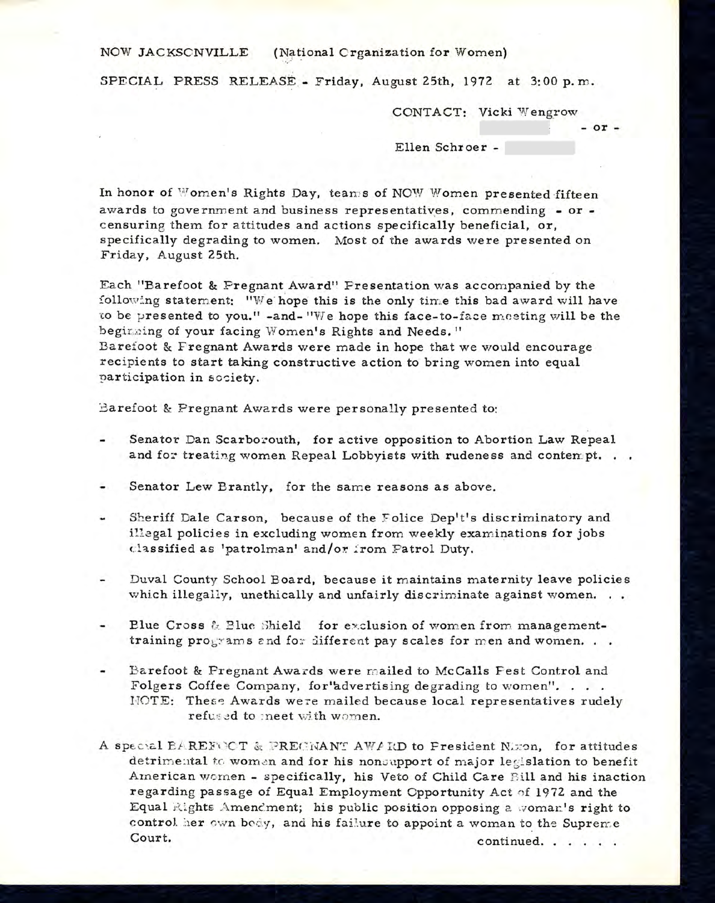## NOW JACKSONVILLE (National Organization for Women)

SPECIAL PRESS RELEASE - Friday, August 25th, 1972 at 3:00 p.m.

C ONTACT: Vicki Wengrow

 $-$  or  $-$ 

Ellen Schroer -

In honor of Women's Rights Day, team s of NOW Women presented fifteen awards to government and business representatives, commending - or censuring them for attitudes and actions specifically beneficial, or, specifically degrading to women. Most of the awards were presented on Friday, August 25th.

Each "Barefoot & Pregnant Award" Presentation was accompanied by the following statement: "We hope this is the only time this bad award will have to be presented to you." -and- "We hope this face-to-face meeting will be the beginning of your facing Women's Rights and Needs." Barefoot & Fregnant Awards were made in hope that we would encourage recipients to start taking constructive action to bring women into equal participation in society.

Barefoot & Pregnant Awards were personally presented to:

- Senator Dan Scarborouth, for active opposition to Abortion Law Repeal and for treating women Repeal Lobbyists with rudeness and contempt. . .
- Senator Lew Brantly, for the same reasons as above.
- Sheriff Dale Carson, because of the Folice Dep't's discriminatory and illegal policies in excluding women from weekly examinations for jobs classified as 'patrolman' and/or from Patrol Duty.
- $\overline{a}$ Duval County School Board, because it maintains maternity leave policies which illegally, unethically and unfairly discriminate against women. . .
- Blue Cross *&* Blue Shield for exclusion of women from managementtraining  $\text{projrams}$  and for different pay scales for men and women...
- Barefoot & Pregnant Awards were mailed to McCalls Fest Control and Folgers Coffee Company, for'advertising degrading to women". . . . NOTE: These Awards were mailed because local representatives rudely refused to meet with women.
- A special BAREFOOT *&* PREGNANT AWARD to President Nixon for attitudes detrimental to women and for his nonsupport of major legislation to benefit American women - specifically, his Veto of Child Care Bill and his inaction regarding passage of Equal Employment Opportunity Act of 1972 and the Equal Rights Amendment; his public position opposing a woman's right to control her own body, and his failure to appoint a woman to the Supreme Court. Court.